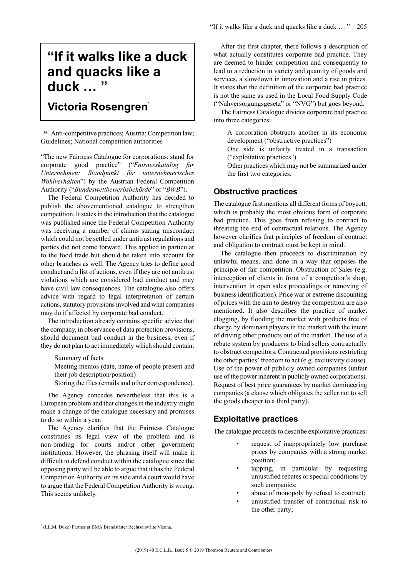# **"If it walks like a duck and quacks like a duck … "**

# **Victoria Rosengren\***

Anti-competitive practices; Austria; Competition law; Guidelines; National competition authorities

"The new Fairness Catalogue for corporations: stand for corporate good practice" ("*Fairnesskatalog für Unternehmen: Standpunkt für unternehmerisches Wohlverhalten*") by the Austrian Federal Competition Authority ("*Bundeswettbewerbsbehörde*" or "*BWB*").

The Federal Competition Authority has decided to publish the abovementioned catalogue to strengthen competition. It states in the introduction that the catalogue was published since the Federal Competition Authority was receiving a number of claims stating misconduct which could not be settled under antitrust regulations and parties did not come forward. This applied in particular to the food trade but should be taken into account for other branches as well. The Agency tries to define good conduct and a list of actions, even if they are not antitrust violations which are considered bad conduct and may have civil law consequences. The catalogue also offers advice with regard to legal interpretation of certain actions, statutory provisions involved and what companies may do if affected by corporate bad conduct.

The introduction already contains specific advice that the company, in observance of data protection provisions, should document bad conduct in the business, even if they do not plan to act immediately which should contain:

Summary of facts

Meeting memos (date, name of people present and their job description/position)

Storing the files (emails and other correspondence).

The Agency concedes nevertheless that this is a European problem and that changes in the industry might make a change of the catalogue necessary and promises to do so within a year.

The Agency clarifies that the Fairness Catalogue constitutes its legal view of the problem and is non-binding for courts and/or other government institutions. However, the phrasing itself will make it difficult to defend conduct within the catalogue since the opposing party will be able to argue that it has the Federal Competition Authority on itsside and a court would have to argue that the Federal Competition Authority is wrong. This seems unlikely.

After the first chapter, there follows a description of what actually constitutes corporate bad practice. They are deemed to hinder competition and consequently to lead to a reduction in variety and quantity of goods and services, a slowdown in innovation and a rise in prices. It states that the definition of the corporate bad practice is not the same as used in the Local Food Supply Code ("Nahversorgungsgesetz" or "NVG") but goes beyond.

The Fairness Catalogue divides corporate bad practice into three categories:

A corporation obstructs another in its economic development ("obstructive practices")

One side is unfairly treated in a transaction ("exploitative practices")

Other practices which may not be summarized under the first two categories.

#### **Obstructive practices**

The catalogue first mentions all different forms of boycott, which is probably the most obvious form of corporate bad practice. This goes from refusing to contract to threating the end of contractual relations. The Agency however clarifies that principles of freedom of contract and obligation to contract must be kept in mind.

The catalogue then proceeds to discrimination by unlawful means, and done in a way that opposes the principle of fair competition. Obstruction of Sales (e.g. interception of clients in front of a competitor's shop, intervention in open sales proceedings or removing of businessidentification).Price war or extreme discounting of prices with the aim to destroy the competition are also mentioned. It also describes the practice of market clogging, by flooding the market with products free of charge by dominant players in the market with the intent of driving other products out of the market. The use of a rebate system by producers to bind sellers contractually to obstruct competitors. Contractual provisions restricting the other parties' freedom to act (e.g. exclusivity clause). Use of the power of publicly owned companies (unfair use of the power inherent in publicly owned corporations). Request of best price guarantees by market domineering companies (a clause which obligates the seller not to sell the goods cheaper to a third party).

#### **Exploitative practices**

The catalogue proceeds to describe exploitative practices:

- request of inappropriately low purchase prices by companies with a strong market position;
- tapping, in particular by requesting unjustified rebates or special conditions by such companies;
- abuse of monopoly by refusal to contract;
- unjustified transfer of contractual risk to the other party;

<sup>\*</sup> (LL.M. Duke) Partner at BMA Brandstätter Rechtsanwälte Vienna.